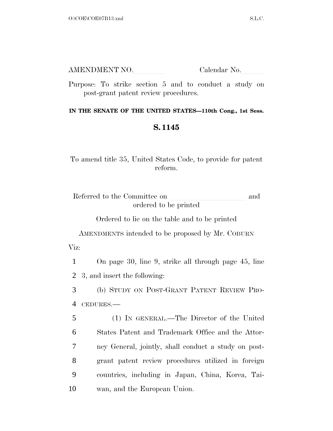| AMENDMENT NO. | Calendar No. |
|---------------|--------------|
|               |              |

Purpose: To strike section 5 and to conduct a study on post-grant patent review procedures.

## **IN THE SENATE OF THE UNITED STATES—110th Cong., 1st Sess.**

## **S. 1145**

To amend title 35, United States Code, to provide for patent reform.

Referred to the Committee on and ordered to be printed

Ordered to lie on the table and to be printed

AMENDMENTS intended to be proposed by Mr. COBURN Viz:

1 On page 30, line 9, strike all through page 45, line 2 3, and insert the following:

3 (b) STUDY ON POST-GRANT PATENT REVIEW PRO-4 CEDURES.—

 (1) IN GENERAL.—The Director of the United States Patent and Trademark Office and the Attor- ney General, jointly, shall conduct a study on post- grant patent review procedures utilized in foreign countries, including in Japan, China, Korea, Tai-wan, and the European Union.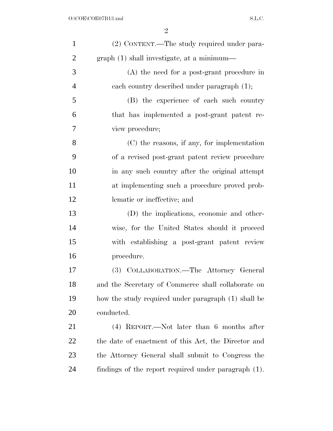| $\mathbf{1}$   | (2) CONTENT.—The study required under para-          |
|----------------|------------------------------------------------------|
| $\overline{2}$ | graph (1) shall investigate, at a minimum—           |
| 3              | $(A)$ the need for a post-grant procedure in         |
| $\overline{4}$ | each country described under paragraph (1);          |
| 5              | (B) the experience of each such country              |
| 6              | that has implemented a post-grant patent re-         |
| 7              | view procedure;                                      |
| 8              | $(C)$ the reasons, if any, for implementation        |
| 9              | of a revised post-grant patent review procedure      |
| 10             | in any such country after the original attempt       |
| 11             | at implementing such a procedure proved prob-        |
| 12             | lematic or ineffective; and                          |
| 13             | (D) the implications, economic and other-            |
| 14             | wise, for the United States should it proceed        |
| 15             | with establishing a post-grant patent review         |
| 16             | procedure.                                           |
| 17             | (3) COLLABORATION.—The Attorney General              |
| 18             | and the Secretary of Commerce shall collaborate on   |
| 19             | how the study required under paragraph (1) shall be  |
| 20             | conducted.                                           |
| 21             | $(4)$ REPORT.—Not later than 6 months after          |
| 22             | the date of enactment of this Act, the Director and  |
| 23             | the Attorney General shall submit to Congress the    |
| 24             | findings of the report required under paragraph (1). |